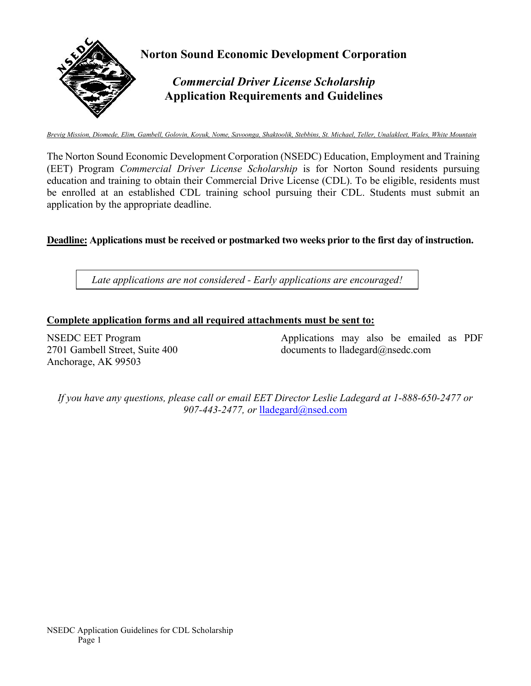

*Brevig Mission, Diomede, Elim, Gambell, Golovin, Koyuk, Nome, Savoonga, Shaktoolik, Stebbins, St. Michael, Teller, Unalakleet, Wales, White Mountain*

The Norton Sound Economic Development Corporation (NSEDC) Education, Employment and Training (EET) Program *Commercial Driver License Scholarship* is for Norton Sound residents pursuing education and training to obtain their Commercial Drive License (CDL). To be eligible, residents must be enrolled at an established CDL training school pursuing their CDL. Students must submit an application by the appropriate deadline.

**Deadline: Applications must be received or postmarked two weeks prior to the first day of instruction.** 

*Late applications are not considered - Early applications are encouraged!*

### **Complete application forms and all required attachments must be sent to:**

NSEDC EET Program 2701 Gambell Street, Suite 400 Anchorage, AK 99503

Applications may also be emailed as PDF documents to lladegard@nsedc.com

*If you have any questions, please call or email EET Director Leslie Ladegard at 1-888-650-2477 or 907-443-2477, or* [lladegard@nsed.c](mailto:lladegard@nsedc.com)om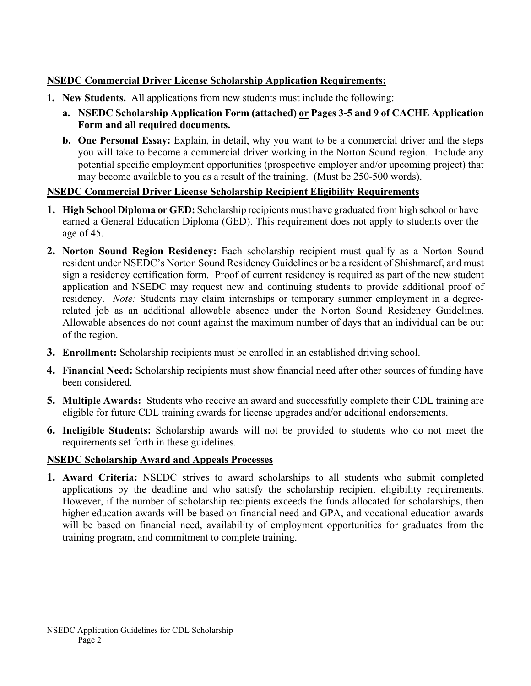## **NSEDC Commercial Driver License Scholarship Application Requirements:**

- **1. New Students.** All applications from new students must include the following:
	- **a. NSEDC Scholarship Application Form (attached) or Pages 3-5 and 9 of CACHE Application Form and all required documents.**
	- **b. One Personal Essay:** Explain, in detail, why you want to be a commercial driver and the steps you will take to become a commercial driver working in the Norton Sound region. Include any potential specific employment opportunities (prospective employer and/or upcoming project) that may become available to you as a result of the training. (Must be 250-500 words).

## **NSEDC Commercial Driver License Scholarship Recipient Eligibility Requirements**

- **1. High School Diploma or GED:** Scholarship recipients must have graduated from high school or have earned a General Education Diploma (GED). This requirement does not apply to students over the age of 45.
- **2. Norton Sound Region Residency:** Each scholarship recipient must qualify as a Norton Sound resident under NSEDC's Norton Sound Residency Guidelines or be a resident of Shishmaref, and must sign a residency certification form. Proof of current residency is required as part of the new student application and NSEDC may request new and continuing students to provide additional proof of residency. *Note:* Students may claim internships or temporary summer employment in a degreerelated job as an additional allowable absence under the Norton Sound Residency Guidelines. Allowable absences do not count against the maximum number of days that an individual can be out of the region.
- **3. Enrollment:** Scholarship recipients must be enrolled in an established driving school.
- **4. Financial Need:** Scholarship recipients must show financial need after other sources of funding have been considered.
- **5. Multiple Awards:** Students who receive an award and successfully complete their CDL training are eligible for future CDL training awards for license upgrades and/or additional endorsements.
- **6. Ineligible Students:** Scholarship awards will not be provided to students who do not meet the requirements set forth in these guidelines.

## **NSEDC Scholarship Award and Appeals Processes**

**1. Award Criteria:** NSEDC strives to award scholarships to all students who submit completed applications by the deadline and who satisfy the scholarship recipient eligibility requirements. However, if the number of scholarship recipients exceeds the funds allocated for scholarships, then higher education awards will be based on financial need and GPA, and vocational education awards will be based on financial need, availability of employment opportunities for graduates from the training program, and commitment to complete training.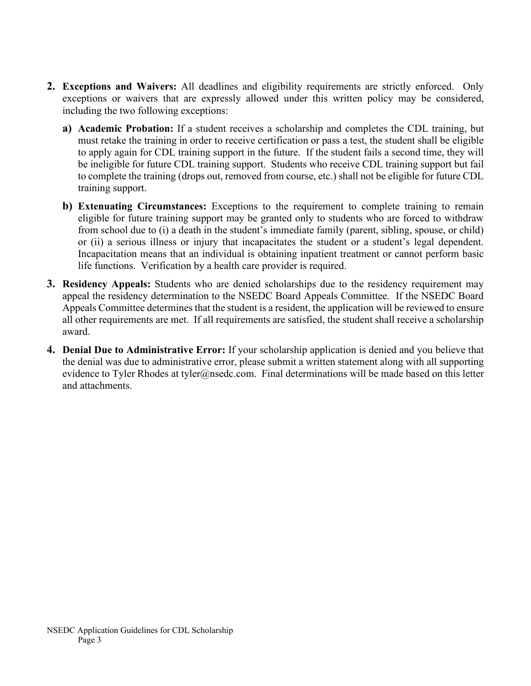- **2. Exceptions and Waivers:** All deadlines and eligibility requirements are strictly enforced. Only exceptions or waivers that are expressly allowed under this written policy may be considered, including the two following exceptions:
	- **a) Academic Probation:** If a student receives a scholarship and completes the CDL training, but must retake the training in order to receive certification or pass a test, the student shall be eligible to apply again for CDL training support in the future. If the student fails a second time, they will be ineligible for future CDL training support. Students who receive CDL training support but fail to complete the training (drops out, removed from course, etc.) shall not be eligible for future CDL training support.
	- **b) Extenuating Circumstances:** Exceptions to the requirement to complete training to remain eligible for future training support may be granted only to students who are forced to withdraw from school due to (i) a death in the student's immediate family (parent, sibling, spouse, or child) or (ii) a serious illness or injury that incapacitates the student or a student's legal dependent. Incapacitation means that an individual is obtaining inpatient treatment or cannot perform basic life functions. Verification by a health care provider is required.
- **3. Residency Appeals:** Students who are denied scholarships due to the residency requirement may appeal the residency determination to the NSEDC Board Appeals Committee. If the NSEDC Board Appeals Committee determines that the student is a resident, the application will be reviewed to ensure all other requirements are met. If all requirements are satisfied, the student shall receive a scholarship award.
- **4. Denial Due to Administrative Error:** If your scholarship application is denied and you believe that the denial was due to administrative error, please submit a written statement along with all supporting evidence to Tyler Rhodes at tyler@nsedc.com. Final determinations will be made based on this letter and attachments.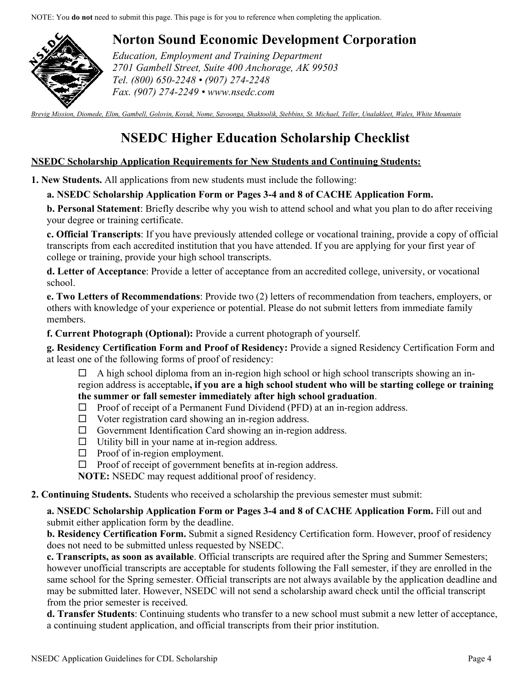NOTE: You **do not** need to submit this page. This page is for you to reference when completing the application.



# **Norton Sound Economic Development Corporation**

*Education, Employment and Training Department 2701 Gambell Street, Suite 400 Anchorage, AK 99503 Tel. (800) 650-2248 • (907) 274-2248 Fax. (907) 274-2249 • www.nsedc.com* 

*Brevig Mission, Diomede, Elim, Gambell, Golovin, Koyuk, Nome, Savoonga, Shaktoolik, Stebbins, St. Michael, Teller, Unalakleet, Wales, White Mountain*

# **NSEDC Higher Education Scholarship Checklist**

### **NSEDC Scholarship Application Requirements for New Students and Continuing Students:**

**1. New Students.** All applications from new students must include the following:

### **a. NSEDC Scholarship Application Form or Pages 3-4 and 8 of CACHE Application Form.**

**b. Personal Statement**: Briefly describe why you wish to attend school and what you plan to do after receiving your degree or training certificate.

**c. Official Transcripts**: If you have previously attended college or vocational training, provide a copy of official transcripts from each accredited institution that you have attended. If you are applying for your first year of college or training, provide your high school transcripts.

**d. Letter of Acceptance**: Provide a letter of acceptance from an accredited college, university, or vocational school.

**e. Two Letters of Recommendations**: Provide two (2) letters of recommendation from teachers, employers, or others with knowledge of your experience or potential. Please do not submit letters from immediate family members.

**f. Current Photograph (Optional):** Provide a current photograph of yourself.

**g. Residency Certification Form and Proof of Residency:** Provide a signed Residency Certification Form and at least one of the following forms of proof of residency:

 $\Box$  A high school diploma from an in-region high school or high school transcripts showing an inregion address is acceptable**, if you are a high school student who will be starting college or training the summer or fall semester immediately after high school graduation**.

- $\Box$  Proof of receipt of a Permanent Fund Dividend (PFD) at an in-region address.
- $\Box$  Voter registration card showing an in-region address.
- $\Box$  Government Identification Card showing an in-region address.
- $\Box$  Utility bill in your name at in-region address.
- $\Box$  Proof of in-region employment.
- $\Box$  Proof of receipt of government benefits at in-region address.

**NOTE:** NSEDC may request additional proof of residency.

### **2. Continuing Students.** Students who received a scholarship the previous semester must submit:

**a. NSEDC Scholarship Application Form or Pages 3-4 and 8 of CACHE Application Form.** Fill out and submit either application form by the deadline.

**b. Residency Certification Form.** Submit a signed Residency Certification form. However, proof of residency does not need to be submitted unless requested by NSEDC.

**c. Transcripts, as soon as available**. Official transcripts are required after the Spring and Summer Semesters; however unofficial transcripts are acceptable for students following the Fall semester, if they are enrolled in the same school for the Spring semester. Official transcripts are not always available by the application deadline and may be submitted later. However, NSEDC will not send a scholarship award check until the official transcript from the prior semester is received.

**d. Transfer Students**: Continuing students who transfer to a new school must submit a new letter of acceptance, a continuing student application, and official transcripts from their prior institution.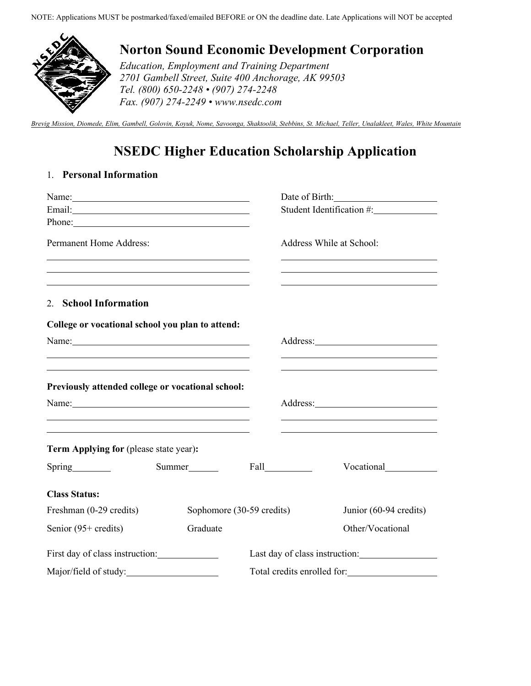

# **Norton Sound Economic Development Corporation**

*Education, Employment and Training Department 2701 Gambell Street, Suite 400 Anchorage, AK 99503 Tel. (800) 650-2248 • (907) 274-2248 Fax. (907) 274-2249 • www.nsedc.com* 

*Brevig Mission, Diomede, Elim, Gambell, Golovin, Koyuk, Nome, Savoonga, Shaktoolik, Stebbins, St. Michael, Teller, Unalakleet, Wales, White Mountain*

# **NSEDC Higher Education Scholarship Application**

## 1. **Personal Information**

| Name: $\frac{1}{\sqrt{1-\frac{1}{2}}}\left\vert \frac{1}{2}\right\vert$                                                                                                                                                        |                                                                                                                                                                                                                               |                           |                                | Date of Birth: 2008       |
|--------------------------------------------------------------------------------------------------------------------------------------------------------------------------------------------------------------------------------|-------------------------------------------------------------------------------------------------------------------------------------------------------------------------------------------------------------------------------|---------------------------|--------------------------------|---------------------------|
|                                                                                                                                                                                                                                |                                                                                                                                                                                                                               |                           |                                | Student Identification #: |
|                                                                                                                                                                                                                                |                                                                                                                                                                                                                               |                           |                                |                           |
| <b>Permanent Home Address:</b><br><u> 1989 - Johann Stein, mars an deus Amerikaansk kommunister (* 1958)</u>                                                                                                                   |                                                                                                                                                                                                                               |                           |                                | Address While at School:  |
| the control of the control of the control of the control of the control of the control of the control of the control of the control of the control of the control of the control of the control of the control of the control  |                                                                                                                                                                                                                               |                           |                                |                           |
| 2. School Information                                                                                                                                                                                                          |                                                                                                                                                                                                                               |                           |                                |                           |
| College or vocational school you plan to attend:                                                                                                                                                                               |                                                                                                                                                                                                                               |                           |                                |                           |
| Name:                                                                                                                                                                                                                          |                                                                                                                                                                                                                               |                           |                                |                           |
|                                                                                                                                                                                                                                |                                                                                                                                                                                                                               |                           |                                |                           |
| the contract of the contract of the contract of the contract of the contract of the contract of the contract of<br>Previously attended college or vocational school:                                                           |                                                                                                                                                                                                                               |                           |                                |                           |
| Name: Name and the set of the set of the set of the set of the set of the set of the set of the set of the set of the set of the set of the set of the set of the set of the set of the set of the set of the set of the set o | the control of the control of the control of the control of the control of the control of the control of the control of the control of the control of the control of the control of the control of the control of the control |                           |                                |                           |
| Term Applying for (please state year):                                                                                                                                                                                         |                                                                                                                                                                                                                               |                           |                                |                           |
| Spring                                                                                                                                                                                                                         | Summer                                                                                                                                                                                                                        |                           | Fall Fall                      | Vocational                |
| <b>Class Status:</b>                                                                                                                                                                                                           |                                                                                                                                                                                                                               |                           |                                |                           |
| Freshman (0-29 credits)                                                                                                                                                                                                        |                                                                                                                                                                                                                               | Sophomore (30-59 credits) |                                | Junior (60-94 credits)    |
| Senior (95+ credits)                                                                                                                                                                                                           | Graduate                                                                                                                                                                                                                      |                           |                                | Other/Vocational          |
| First day of class instruction:                                                                                                                                                                                                |                                                                                                                                                                                                                               |                           | Last day of class instruction: |                           |
| Major/field of study:                                                                                                                                                                                                          |                                                                                                                                                                                                                               |                           | Total credits enrolled for:    |                           |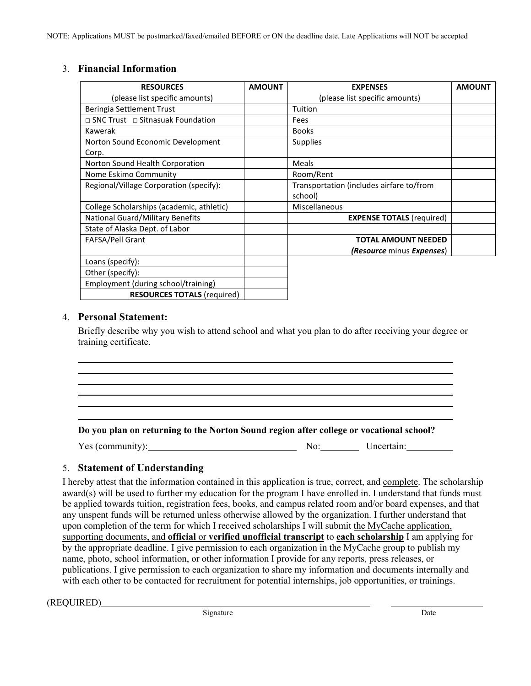### 3. **Financial Information**

| <b>RESOURCES</b>                             | <b>AMOUNT</b> | <b>EXPENSES</b>                          | <b>AMOUNT</b> |
|----------------------------------------------|---------------|------------------------------------------|---------------|
| (please list specific amounts)               |               | (please list specific amounts)           |               |
| Beringia Settlement Trust                    |               | Tuition                                  |               |
| $\Box$ SNC Trust $\Box$ Sitnasuak Foundation |               | Fees                                     |               |
| Kawerak                                      |               | <b>Books</b>                             |               |
| Norton Sound Economic Development            |               | <b>Supplies</b>                          |               |
| Corp.                                        |               |                                          |               |
| Norton Sound Health Corporation              |               | Meals                                    |               |
| Nome Eskimo Community                        |               | Room/Rent                                |               |
| Regional/Village Corporation (specify):      |               | Transportation (includes airfare to/from |               |
|                                              |               | school)                                  |               |
| College Scholarships (academic, athletic)    |               | Miscellaneous                            |               |
| National Guard/Military Benefits             |               | <b>EXPENSE TOTALS (required)</b>         |               |
| State of Alaska Dept. of Labor               |               |                                          |               |
| <b>FAFSA/Pell Grant</b>                      |               | <b>TOTAL AMOUNT NEEDED</b>               |               |
|                                              |               | <i>(Resource minus Expenses)</i>         |               |
| Loans (specify):                             |               |                                          |               |
| Other (specify):                             |               |                                          |               |
| Employment (during school/training)          |               |                                          |               |
| <b>RESOURCES TOTALS (required)</b>           |               |                                          |               |

### 4. **Personal Statement:**

Briefly describe why you wish to attend school and what you plan to do after receiving your degree or training certificate.

**Do you plan on returning to the Norton Sound region after college or vocational school?**

Yes (community): No: No: Uncertain:

### 5. **Statement of Understanding**

I hereby attest that the information contained in this application is true, correct, and complete. The scholarship award(s) will be used to further my education for the program I have enrolled in. I understand that funds must be applied towards tuition, registration fees, books, and campus related room and/or board expenses, and that any unspent funds will be returned unless otherwise allowed by the organization. I further understand that upon completion of the term for which I received scholarships I will submit the MyCache application, supporting documents, and **official** or **verified unofficial transcript** to **each scholarship** I am applying for by the appropriate deadline. I give permission to each organization in the MyCache group to publish my name, photo, school information, or other information I provide for any reports, press releases, or publications. I give permission to each organization to share my information and documents internally and with each other to be contacted for recruitment for potential internships, job opportunities, or trainings.

(REQUIRED)